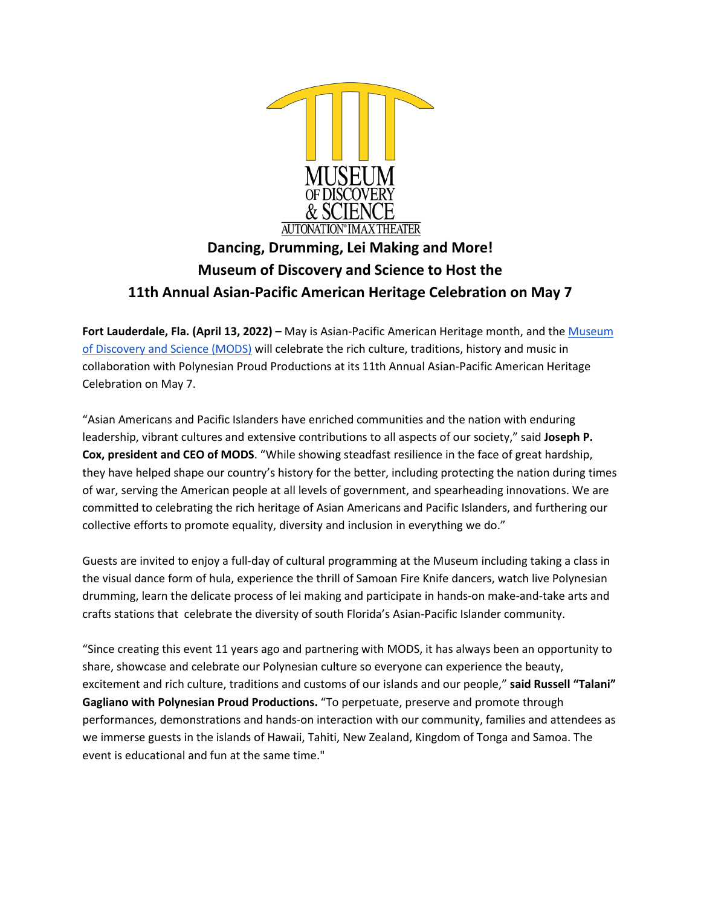

## **Dancing, Drumming, Lei Making and More! Museum of Discovery and Science to Host the 11th Annual Asian-Pacific American Heritage Celebration on May 7**

**Fort Lauderdale, Fla. (April 13, 2022) –** May is Asian-Pacific American Heritage month, and the [Museum](http://www.mods.org/)  [of Discovery and Science \(MODS\)](http://www.mods.org/) will celebrate the rich culture, traditions, history and music in collaboration with Polynesian Proud Productions at its 11th Annual Asian-Pacific American Heritage Celebration on May 7.

"Asian Americans and Pacific Islanders have enriched communities and the nation with enduring leadership, vibrant cultures and extensive contributions to all aspects of our society," said **Joseph P. Cox, president and CEO of MODS**. "While showing steadfast resilience in the face of great hardship, they have helped shape our country's history for the better, including protecting the nation during times of war, serving the American people at all levels of government, and spearheading innovations. We are committed to celebrating the rich heritage of Asian Americans and Pacific Islanders, and furthering our collective efforts to promote equality, diversity and inclusion in everything we do."

Guests are invited to enjoy a full-day of cultural programming at the Museum including taking a class in the visual dance form of hula, experience the thrill of Samoan Fire Knife dancers, watch live Polynesian drumming, learn the delicate process of lei making and participate in hands-on make-and-take arts and crafts stations that celebrate the diversity of south Florida's Asian-Pacific Islander community.

"Since creating this event 11 years ago and partnering with MODS, it has always been an opportunity to share, showcase and celebrate our Polynesian culture so everyone can experience the beauty, excitement and rich culture, traditions and customs of our islands and our people," **said Russell "Talani" Gagliano with Polynesian Proud Productions.** "To perpetuate, preserve and promote through performances, demonstrations and hands-on interaction with our community, families and attendees as we immerse guests in the islands of Hawaii, Tahiti, New Zealand, Kingdom of Tonga and Samoa. The event is educational and fun at the same time."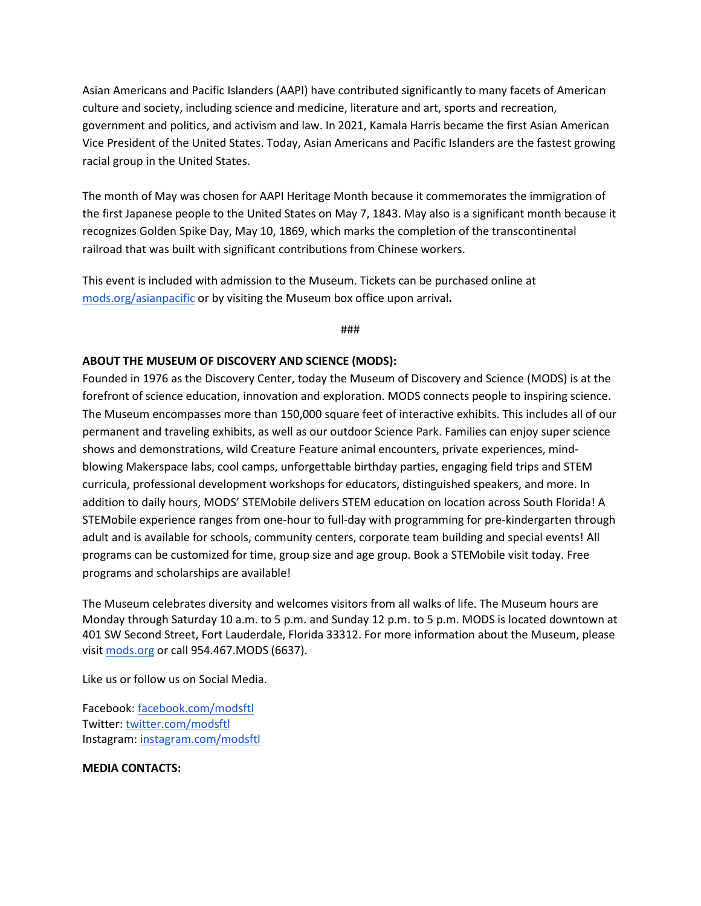Asian Americans and Pacific Islanders (AAPI) have contributed significantly to many facets of American culture and society, including science and medicine, literature and art, sports and recreation, government and politics, and activism and law. In 2021, Kamala Harris became the first Asian American Vice President of the United States. Today, Asian Americans and Pacific Islanders are the fastest growing racial group in the United States.

The month of May was chosen for AAPI Heritage Month because it commemorates the immigration of the first Japanese people to the United States on May 7, 1843. May also is a significant month because it recognizes Golden Spike Day, May 10, 1869, which marks the completion of the transcontinental railroad that was built with significant contributions from Chinese workers.

This event is included with admission to the Museum. Tickets can be purchased online at [mods.org/asianpacific](http://www.mods.org/asianpacific) or by visiting the Museum box office upon arrival**.** 

###

#### **ABOUT THE MUSEUM OF DISCOVERY AND SCIENCE (MODS):**

Founded in 1976 as the Discovery Center, today the Museum of Discovery and Science (MODS) is at the forefront of science education, innovation and exploration. MODS connects people to inspiring science. The Museum encompasses more than 150,000 square feet of interactive exhibits. This includes all of our permanent and traveling exhibits, as well as our outdoor Science Park. Families can enjoy super science shows and demonstrations, wild Creature Feature animal encounters, private experiences, mindblowing Makerspace labs, cool camps, unforgettable birthday parties, engaging field trips and STEM curricula, professional development workshops for educators, distinguished speakers, and more. In addition to daily hours, MODS' STEMobile delivers STEM education on location across South Florida! A STEMobile experience ranges from one-hour to full-day with programming for pre-kindergarten through adult and is available for schools, community centers, corporate team building and special events! All programs can be customized for time, group size and age group. Book a STEMobile visit today. Free programs and scholarships are available!

The Museum celebrates diversity and welcomes visitors from all walks of life. The Museum hours are Monday through Saturday 10 a.m. to 5 p.m. and Sunday 12 p.m. to 5 p.m. MODS is located downtown at 401 SW Second Street, Fort Lauderdale, Florida 33312. For more information about the Museum, please visit [mods.org](http://mods.org/) or call 954.467.MODS (6637).

Like us or follow us on Social Media.

Facebook: [facebook.com/modsftl](http://www.facebook.com/MODSFTL) Twitter[:](http://www.twitter.com/modsftl) [twitter.com/modsftl](http://www.twitter.com/modsftl) Instagram: [instagram.com/modsftl](http://www.instagram.com/modsftl)

#### **MEDIA CONTACTS:**